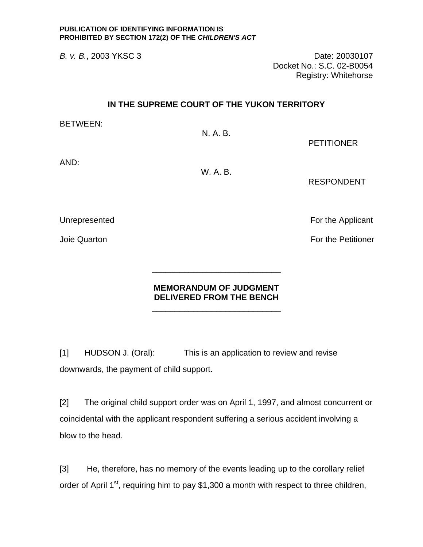*B. v. B.*, 2003 YKSC 3 Date: 20030107 Docket No.: S.C. 02-B0054 Registry: Whitehorse

## **IN THE SUPREME COURT OF THE YUKON TERRITORY**

BETWEEN:

N. A. B.

PETITIONER

AND:

W. A. B.

RESPONDENT

Unrepresented For the Applicant

Joie Quarton **For the Petitioner** 

## **MEMORANDUM OF JUDGMENT DELIVERED FROM THE BENCH**

\_\_\_\_\_\_\_\_\_\_\_\_\_\_\_\_\_\_\_\_\_\_\_\_\_\_\_\_

[1] HUDSON J. (Oral): This is an application to review and revise downwards, the payment of child support.

 $\frac{1}{\sqrt{2}}$  ,  $\frac{1}{\sqrt{2}}$  ,  $\frac{1}{\sqrt{2}}$  ,  $\frac{1}{\sqrt{2}}$  ,  $\frac{1}{\sqrt{2}}$  ,  $\frac{1}{\sqrt{2}}$  ,  $\frac{1}{\sqrt{2}}$  ,  $\frac{1}{\sqrt{2}}$  ,  $\frac{1}{\sqrt{2}}$  ,  $\frac{1}{\sqrt{2}}$  ,  $\frac{1}{\sqrt{2}}$  ,  $\frac{1}{\sqrt{2}}$  ,  $\frac{1}{\sqrt{2}}$  ,  $\frac{1}{\sqrt{2}}$  ,  $\frac{1}{\sqrt{2}}$ 

[2] The original child support order was on April 1, 1997, and almost concurrent or coincidental with the applicant respondent suffering a serious accident involving a blow to the head.

[3] He, therefore, has no memory of the events leading up to the corollary relief order of April  $1^{st}$ , requiring him to pay \$1,300 a month with respect to three children,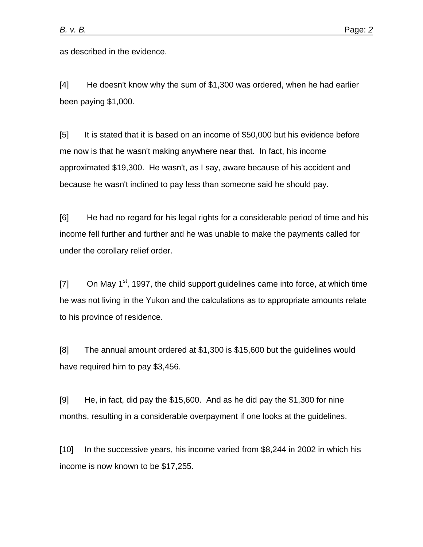as described in the evidence.

[4] He doesn't know why the sum of \$1,300 was ordered, when he had earlier been paying \$1,000.

[5] It is stated that it is based on an income of \$50,000 but his evidence before me now is that he wasn't making anywhere near that. In fact, his income approximated \$19,300. He wasn't, as I say, aware because of his accident and because he wasn't inclined to pay less than someone said he should pay.

[6] He had no regard for his legal rights for a considerable period of time and his income fell further and further and he was unable to make the payments called for under the corollary relief order.

 $[7]$  On May 1<sup>st</sup>, 1997, the child support guidelines came into force, at which time he was not living in the Yukon and the calculations as to appropriate amounts relate to his province of residence.

[8] The annual amount ordered at \$1,300 is \$15,600 but the guidelines would have required him to pay \$3,456.

[9] He, in fact, did pay the \$15,600. And as he did pay the \$1,300 for nine months, resulting in a considerable overpayment if one looks at the guidelines.

[10] In the successive years, his income varied from \$8,244 in 2002 in which his income is now known to be \$17,255.